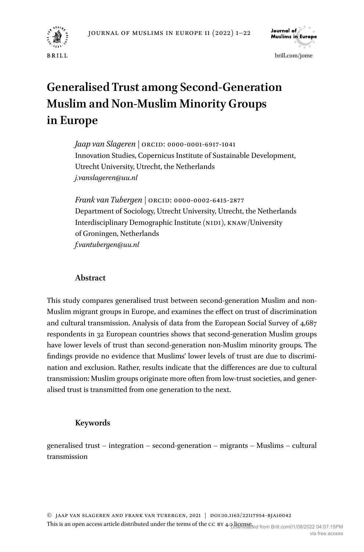



via free access

# **Generalised Trust among Second-Generation Muslim and Non-Muslim Minority Groups in Europe**

*Jaap van Slageren* | ORCiD: 0000-0001-6917-1041 Innovation Studies, Copernicus Institute of Sustainable Development, Utrecht University, Utrecht, the Netherlands *[j.vanslageren@uu.nl](mailto:j.vanslageren@uu.nl)*

*Frank van Tubergen* | ORCiD: 0000-0002-6415-2877 Department of Sociology, Utrecht University, Utrecht, the Netherlands Interdisciplinary Demographic Institute (NIDI), KNAW/University of Groningen, Netherlands *[f.vantubergen@uu.nl](mailto:f.vantubergen@uu.nl)*

# **Abstract**

This study compares generalised trust between second-generation Muslim and non-Muslim migrant groups in Europe, and examines the effect on trust of discrimination and cultural transmission. Analysis of data from the European Social Survey of 4,687 respondents in 32 European countries shows that second-generation Muslim groups have lower levels of trust than second-generation non-Muslim minority groups. The findings provide no evidence that Muslims' lower levels of trust are due to discrimination and exclusion. Rather, results indicate that the differences are due to cultural transmission: Muslim groups originate more often from low-trust societies, and generalised trust is transmitted from one generation to the next.

# **Keywords**

generalised trust – integration – second-generation – migrants – Muslims – cultural transmission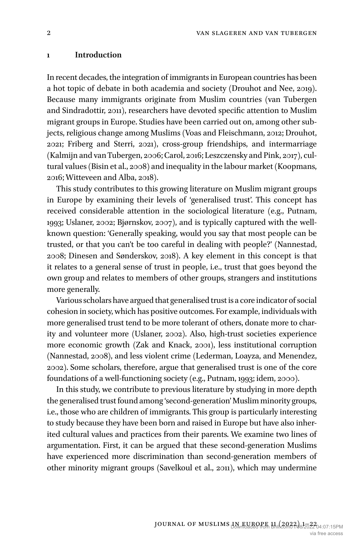#### **1 Introduction**

In recent decades, the integration of immigrants in European countries has been a hot topic of debate in both academia and society (Drouhot and Nee, 2019). Because many immigrants originate from Muslim countries (van Tubergen and Sindradottir, 2011), researchers have devoted specific attention to Muslim migrant groups in Europe. Studies have been carried out on, among other subjects, religious change among Muslims (Voas and Fleischmann, 2012; Drouhot, 2021; Friberg and Sterri, 2021), cross-group friendships, and intermarriage (Kalmijn and van Tubergen, 2006; Carol, 2016; Leszczensky and Pink, 2017), cultural values (Bisin et al., 2008) and inequality in the labour market (Koopmans, 2016; Witteveen and Alba, 2018).

This study contributes to this growing literature on Muslim migrant groups in Europe by examining their levels of 'generalised trust'. This concept has received considerable attention in the sociological literature (e.g., Putnam, 1993; Uslaner, 2002; Bjørnskov, 2007), and is typically captured with the wellknown question: 'Generally speaking, would you say that most people can be trusted, or that you can't be too careful in dealing with people?' (Nannestad, 2008; Dinesen and Sønderskov, 2018). A key element in this concept is that it relates to a general sense of trust in people, i.e., trust that goes beyond the own group and relates to members of other groups, strangers and institutions more generally.

Various scholars have argued that generalised trust is a core indicator of social cohesion in society, which has positive outcomes. For example, individuals with more generalised trust tend to be more tolerant of others, donate more to charity and volunteer more (Uslaner, 2002). Also, high-trust societies experience more economic growth (Zak and Knack, 2001), less institutional corruption (Nannestad, 2008), and less violent crime (Lederman, Loayza, and Menendez, 2002). Some scholars, therefore, argue that generalised trust is one of the core foundations of a well-functioning society (e.g., Putnam, 1993; idem, 2000).

In this study, we contribute to previous literature by studying in more depth the generalised trust found among 'second-generation' Muslim minority groups, i.e., those who are children of immigrants. This group is particularly interesting to study because they have been born and raised in Europe but have also inherited cultural values and practices from their parents. We examine two lines of argumentation. First, it can be argued that these second-generation Muslims have experienced more discrimination than second-generation members of other minority migrant groups (Savelkoul et al., 2011), which may undermine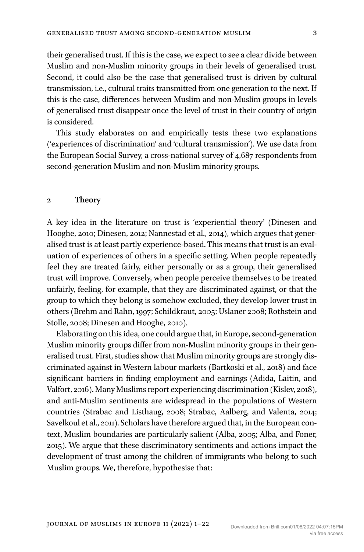their generalised trust. If this is the case, we expect to see a clear divide between Muslim and non-Muslim minority groups in their levels of generalised trust. Second, it could also be the case that generalised trust is driven by cultural transmission, i.e., cultural traits transmitted from one generation to the next. If this is the case, differences between Muslim and non-Muslim groups in levels of generalised trust disappear once the level of trust in their country of origin is considered.

This study elaborates on and empirically tests these two explanations ('experiences of discrimination' and 'cultural transmission'). We use data from the European Social Survey, a cross-national survey of 4,687 respondents from second-generation Muslim and non-Muslim minority groups.

#### **2 Theory**

A key idea in the literature on trust is 'experiential theory' (Dinesen and Hooghe, 2010; Dinesen, 2012; Nannestad et al., 2014), which argues that generalised trust is at least partly experience-based. This means that trust is an evaluation of experiences of others in a specific setting. When people repeatedly feel they are treated fairly, either personally or as a group, their generalised trust will improve. Conversely, when people perceive themselves to be treated unfairly, feeling, for example, that they are discriminated against, or that the group to which they belong is somehow excluded, they develop lower trust in others (Brehm and Rahn, 1997; Schildkraut, 2005; Uslaner 2008; Rothstein and Stolle, 2008; Dinesen and Hooghe, 2010).

Elaborating on this idea, one could argue that, in Europe, second-generation Muslim minority groups differ from non-Muslim minority groups in their generalised trust. First, studies show that Muslim minority groups are strongly discriminated against in Western labour markets (Bartkoski et al., 2018) and face significant barriers in finding employment and earnings (Adida, Laitin, and Valfort, 2016). Many Muslims report experiencing discrimination (Kislev, 2018), and anti-Muslim sentiments are widespread in the populations of Western countries (Strabac and Listhaug, 2008; Strabac, Aalberg, and Valenta, 2014; Savelkoul et al., 2011). Scholars have therefore argued that, in the European context, Muslim boundaries are particularly salient (Alba, 2005; Alba, and Foner, 2015). We argue that these discriminatory sentiments and actions impact the development of trust among the children of immigrants who belong to such Muslim groups. We, therefore, hypothesise that: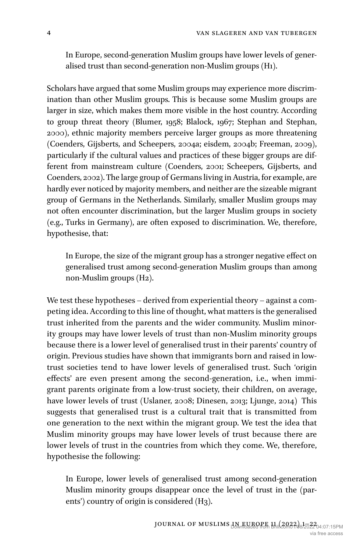In Europe, second-generation Muslim groups have lower levels of generalised trust than second-generation non-Muslim groups (H1).

Scholars have argued that some Muslim groups may experience more discrimination than other Muslim groups. This is because some Muslim groups are larger in size, which makes them more visible in the host country. According to group threat theory (Blumer, 1958; Blalock, 1967; Stephan and Stephan, 2000), ethnic majority members perceive larger groups as more threatening (Coenders, Gijsberts, and Scheepers, 2004a; eisdem, 2004b; Freeman, 2009), particularly if the cultural values and practices of these bigger groups are different from mainstream culture (Coenders, 2001; Scheepers, Gijsberts, and Coenders, 2002). The large group of Germans living in Austria, for example, are hardly ever noticed by majority members, and neither are the sizeable migrant group of Germans in the Netherlands. Similarly, smaller Muslim groups may not often encounter discrimination, but the larger Muslim groups in society (e.g., Turks in Germany), are often exposed to discrimination. We, therefore, hypothesise, that:

In Europe, the size of the migrant group has a stronger negative effect on generalised trust among second-generation Muslim groups than among non-Muslim groups (H2).

We test these hypotheses – derived from experiential theory – against a competing idea. According to this line of thought, what matters is the generalised trust inherited from the parents and the wider community. Muslim minority groups may have lower levels of trust than non-Muslim minority groups because there is a lower level of generalised trust in their parents' country of origin. Previous studies have shown that immigrants born and raised in lowtrust societies tend to have lower levels of generalised trust. Such 'origin effects' are even present among the second-generation, i.e., when immigrant parents originate from a low-trust society, their children, on average, have lower levels of trust (Uslaner, 2008; Dinesen, 2013; Ljunge, 2014) This suggests that generalised trust is a cultural trait that is transmitted from one generation to the next within the migrant group. We test the idea that Muslim minority groups may have lower levels of trust because there are lower levels of trust in the countries from which they come. We, therefore, hypothesise the following:

In Europe, lower levels of generalised trust among second-generation Muslim minority groups disappear once the level of trust in the (parents') country of origin is considered (H3).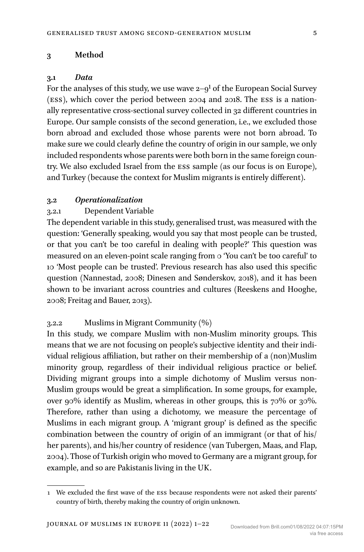### **3 Method**

#### **3.1** *Data*

For the analyses of this study, we use wave  $2 - 9<sup>1</sup>$  of the European Social Survey (ESS), which cover the period between 2004 and 2018. The ESS is a nationally representative cross-sectional survey collected in 32 different countries in Europe. Our sample consists of the second generation, i.e., we excluded those born abroad and excluded those whose parents were not born abroad. To make sure we could clearly define the country of origin in our sample, we only included respondents whose parents were both born in the same foreign country. We also excluded Israel from the ESS sample (as our focus is on Europe), and Turkey (because the context for Muslim migrants is entirely different).

#### **3.2** *Operationalization*

# 3.2.1 Dependent Variable

The dependent variable in this study, generalised trust, was measured with the question: 'Generally speaking, would you say that most people can be trusted, or that you can't be too careful in dealing with people?' This question was measured on an eleven-point scale ranging from 0 'You can't be too careful' to 10 'Most people can be trusted'. Previous research has also used this specific question (Nannestad, 2008; Dinesen and Sønderskov, 2018), and it has been shown to be invariant across countries and cultures (Reeskens and Hooghe, 2008; Freitag and Bauer, 2013).

# 3.2.2 Muslims in Migrant Community (%)

In this study, we compare Muslim with non-Muslim minority groups. This means that we are not focusing on people's subjective identity and their individual religious affiliation, but rather on their membership of a (non)Muslim minority group, regardless of their individual religious practice or belief. Dividing migrant groups into a simple dichotomy of Muslim versus non-Muslim groups would be great a simplification. In some groups, for example, over 90% identify as Muslim, whereas in other groups, this is 70% or 30%. Therefore, rather than using a dichotomy, we measure the percentage of Muslims in each migrant group. A 'migrant group' is defined as the specific combination between the country of origin of an immigrant (or that of his/ her parents), and his/her country of residence (van Tubergen, Maas, and Flap, 2004). Those of Turkish origin who moved to Germany are a migrant group, for example, and so are Pakistanis living in the UK.

<sup>1</sup> We excluded the first wave of the ESS because respondents were not asked their parents' country of birth, thereby making the country of origin unknown.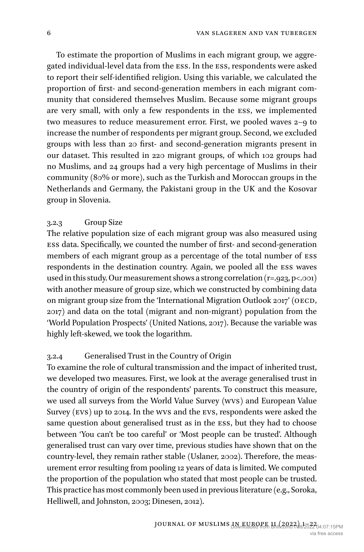To estimate the proportion of Muslims in each migrant group, we aggregated individual-level data from the ESS. In the ESS, respondents were asked to report their self-identified religion. Using this variable, we calculated the proportion of first- and second-generation members in each migrant community that considered themselves Muslim. Because some migrant groups are very small, with only a few respondents in the ESS, we implemented two measures to reduce measurement error. First, we pooled waves 2–9 to increase the number of respondents per migrant group. Second, we excluded groups with less than 20 first- and second-generation migrants present in our dataset. This resulted in 220 migrant groups, of which 102 groups had no Muslims, and 24 groups had a very high percentage of Muslims in their community (80% or more), such as the Turkish and Moroccan groups in the Netherlands and Germany, the Pakistani group in the UK and the Kosovar group in Slovenia.

### 3.2.3 Group Size

The relative population size of each migrant group was also measured using ESS data. Specifically, we counted the number of first- and second-generation members of each migrant group as a percentage of the total number of ESS respondents in the destination country. Again, we pooled all the ESS waves used in this study. Our measurement shows a strong correlation (r=.923, p<.001) with another measure of group size, which we constructed by combining data on migrant group size from the 'International Migration Outlook 2017' (OECD, 2017) and data on the total (migrant and non-migrant) population from the 'World Population Prospects' (United Nations, 2017). Because the variable was highly left-skewed, we took the logarithm.

# 3.2.4 Generalised Trust in the Country of Origin

To examine the role of cultural transmission and the impact of inherited trust, we developed two measures. First, we look at the average generalised trust in the country of origin of the respondents' parents. To construct this measure, we used all surveys from the World Value Survey (WVS) and European Value Survey (EVS) up to 2014. In the WVS and the EVS, respondents were asked the same question about generalised trust as in the ESS, but they had to choose between 'You can't be too careful' or 'Most people can be trusted'. Although generalised trust can vary over time, previous studies have shown that on the country-level, they remain rather stable (Uslaner, 2002). Therefore, the measurement error resulting from pooling 12 years of data is limited. We computed the proportion of the population who stated that most people can be trusted. This practice has most commonly been used in previous literature (e.g., Soroka, Helliwell, and Johnston, 2003; Dinesen, 2012).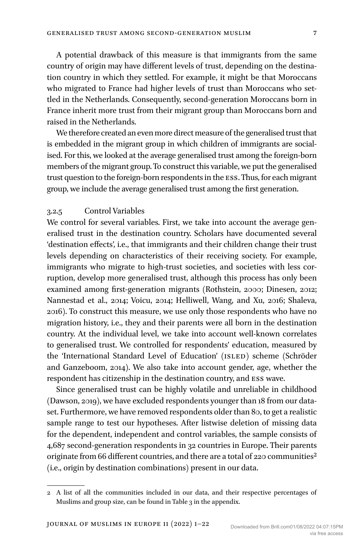A potential drawback of this measure is that immigrants from the same country of origin may have different levels of trust, depending on the destination country in which they settled. For example, it might be that Moroccans who migrated to France had higher levels of trust than Moroccans who settled in the Netherlands. Consequently, second-generation Moroccans born in France inherit more trust from their migrant group than Moroccans born and raised in the Netherlands.

We therefore created an even more direct measure of the generalised trust that is embedded in the migrant group in which children of immigrants are socialised. For this, we looked at the average generalised trust among the foreign-born members of the migrant group. To construct this variable, we put the generalised trust question to the foreign-born respondents in the ESS. Thus, for each migrant group, we include the average generalised trust among the first generation.

# 3.2.5 Control Variables

We control for several variables. First, we take into account the average generalised trust in the destination country. Scholars have documented several 'destination effects', i.e., that immigrants and their children change their trust levels depending on characteristics of their receiving society. For example, immigrants who migrate to high-trust societies, and societies with less corruption, develop more generalised trust, although this process has only been examined among first-generation migrants (Rothstein, 2000; Dinesen, 2012; Nannestad et al., 2014; Voicu, 2014; Helliwell, Wang, and Xu, 2016; Shaleva, 2016). To construct this measure, we use only those respondents who have no migration history, i.e., they and their parents were all born in the destination country. At the individual level, we take into account well-known correlates to generalised trust. We controlled for respondents' education, measured by the 'International Standard Level of Education' (ISLED) scheme (Schröder and Ganzeboom, 2014). We also take into account gender, age, whether the respondent has citizenship in the destination country, and ESS wave.

Since generalised trust can be highly volatile and unreliable in childhood (Dawson, 2019), we have excluded respondents younger than 18 from our dataset. Furthermore, we have removed respondents older than 80, to get a realistic sample range to test our hypotheses. After listwise deletion of missing data for the dependent, independent and control variables, the sample consists of 4,687 second-generation respondents in 32 countries in Europe. Their parents originate from 66 different countries, and there are a total of 220 communities<sup>2</sup> (i.e., origin by destination combinations) present in our data.

<sup>2</sup> A list of all the communities included in our data, and their respective percentages of Muslims and group size, can be found in Table 3 in the appendix.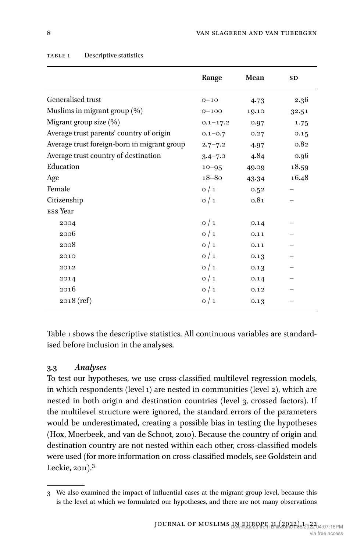|                                             | Range        | Mean  | <b>SD</b> |
|---------------------------------------------|--------------|-------|-----------|
| Generalised trust                           | $0 - 10$     | 4.73  | 2.36      |
| Muslims in migrant group (%)                | $0 - 100$    | 19.10 | 32.51     |
| Migrant group size (%)                      | $0.1 - 17.2$ | 0.97  | 1.75      |
| Average trust parents' country of origin    | $0.1 - 0.7$  | 0.27  | 0.15      |
| Average trust foreign-born in migrant group | $2.7 - 7.2$  | 4.97  | 0.82      |
| Average trust country of destination        | $3.4 - 7.0$  | 4.84  | 0.96      |
| Education                                   | $10 - 95$    | 49.09 | 18.59     |
| Age                                         | $18 - 80$    | 43.34 | 16.48     |
| Female                                      | 0/1          | 0.52  |           |
| Citizenship                                 | 0/1          | 0.81  |           |
| ESS Year                                    |              |       |           |
| 2004                                        | 0/1          | 0.14  |           |
| 2006                                        | 0/1          | 0.11  |           |
| 2008                                        | 0/1          | 0.11  |           |
| 2010                                        | 0/1          | 0.13  |           |
| 2012                                        | 0/1          | 0.13  |           |
| 2014                                        | $\circ/1$    | 0.14  |           |
| 2016                                        | 0/1          | 0.12  |           |
| $2018$ (ref)                                | 0/1          | 0.13  |           |
|                                             |              |       |           |

#### TABLE 1 Descriptive statistics

Table 1 shows the descriptive statistics. All continuous variables are standardised before inclusion in the analyses.

# **3.3** *Analyses*

To test our hypotheses, we use cross-classified multilevel regression models, in which respondents (level 1) are nested in communities (level 2), which are nested in both origin and destination countries (level 3, crossed factors). If the multilevel structure were ignored, the standard errors of the parameters would be underestimated, creating a possible bias in testing the hypotheses (Hox, Moerbeek, and van de Schoot, 2010). Because the country of origin and destination country are not nested within each other, cross-classified models were used (for more information on cross-classified models, see Goldstein and Leckie, 2011).3

<sup>3</sup> We also examined the impact of influential cases at the migrant group level, because this is the level at which we formulated our hypotheses, and there are not many observations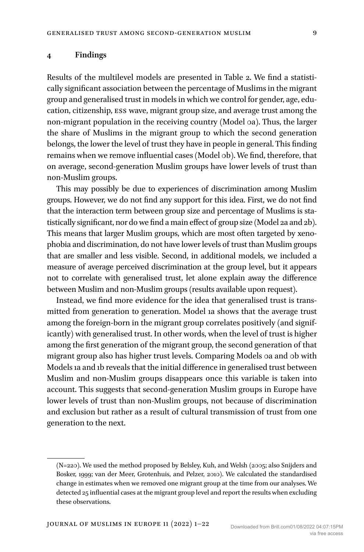#### **4 Findings**

Results of the multilevel models are presented in Table 2. We find a statistically significant association between the percentage of Muslims in the migrant group and generalised trust in models in which we control for gender, age, education, citizenship, ESS wave, migrant group size, and average trust among the non-migrant population in the receiving country (Model 0a). Thus, the larger the share of Muslims in the migrant group to which the second generation belongs, the lower the level of trust they have in people in general. This finding remains when we remove influential cases (Model 0b). We find, therefore, that on average, second-generation Muslim groups have lower levels of trust than non-Muslim groups.

This may possibly be due to experiences of discrimination among Muslim groups. However, we do not find any support for this idea. First, we do not find that the interaction term between group size and percentage of Muslims is statistically significant, nor do we find a main effect of group size (Model 2a and 2b). This means that larger Muslim groups, which are most often targeted by xenophobia and discrimination, do not have lower levels of trust than Muslim groups that are smaller and less visible. Second, in additional models, we included a measure of average perceived discrimination at the group level, but it appears not to correlate with generalised trust, let alone explain away the difference between Muslim and non-Muslim groups (results available upon request).

Instead, we find more evidence for the idea that generalised trust is transmitted from generation to generation. Model 1a shows that the average trust among the foreign-born in the migrant group correlates positively (and significantly) with generalised trust. In other words, when the level of trust is higher among the first generation of the migrant group, the second generation of that migrant group also has higher trust levels. Comparing Models 0a and 0b with Models 1a and 1b reveals that the initial difference in generalised trust between Muslim and non-Muslim groups disappears once this variable is taken into account. This suggests that second-generation Muslim groups in Europe have lower levels of trust than non-Muslim groups, not because of discrimination and exclusion but rather as a result of cultural transmission of trust from one generation to the next.

<sup>(</sup>N=220). We used the method proposed by Belsley, Kuh, and Welsh (2005; also Snijders and Bosker, 1999; van der Meer, Grotenhuis, and Pelzer, 2010). We calculated the standardised change in estimates when we removed one migrant group at the time from our analyses. We detected 25 influential cases at the migrant group level and report the results when excluding these observations.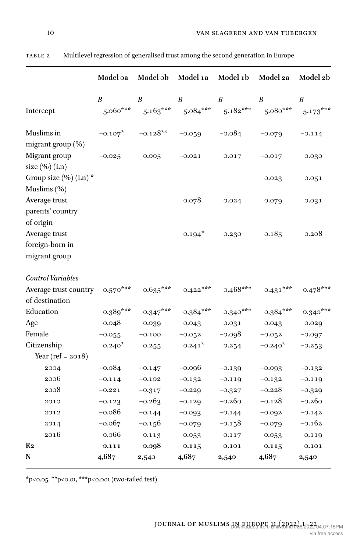|                                                                | Model oa               | Model ob       | Model 1a             | Model 1b         | Model 2a                                                                              | Model 2b   |
|----------------------------------------------------------------|------------------------|----------------|----------------------|------------------|---------------------------------------------------------------------------------------|------------|
| Intercept                                                      | $\boldsymbol{B}$       | B              | B                    | $\boldsymbol{B}$ | $\boldsymbol{B}$<br>$5.060***$ $5.163***$ $5.084***$ $5.182***$ $5.080***$ $5.173***$ | B          |
| Muslims in<br>migrant group (%)                                | $-0.107$ * $-0.128$ ** |                | $-0.059$             | $-0.084$         | $-0.079$                                                                              | $-0.114$   |
| Migrant group<br>size $(\%)(Ln)$                               | $-0.025$               | $0.005 -0.021$ |                      | 0.017            | $-0.017$                                                                              | 0.030      |
| Group size $(\%)(Ln)^*$<br>Muslims (%)                         |                        |                |                      |                  | 0.023                                                                                 | 0.051      |
| Average trust<br>parents' country                              |                        |                | 0.078                | 0.024            | 0.079                                                                                 | 0.031      |
| of origin<br>Average trust<br>foreign-born in<br>migrant group |                        |                | $0.194*$             | 0.230            | 0.185                                                                                 | 0.208      |
| Control Variables                                              |                        |                |                      |                  |                                                                                       |            |
| Average trust country 0.570***<br>of destination               |                        | $0.635***$     | $0.422***$           | $0.468***$       | $0.431***$                                                                            | $0.478***$ |
| Education                                                      | $0.389***$             | $0.347***$     | $0.384***$           | $0.340***$       | $0.384***$                                                                            | $0.340***$ |
| Age                                                            | 0.048                  | 0.039          | 0.043                | 0.031            | 0.043                                                                                 | 0.029      |
| Female                                                         | $-0.055$               | $-0.100$       | $-0.052$             | -0.098           | $-0.052$                                                                              | $-0.097$   |
| Citizenship<br>Year (ref = $2018$ )                            | $0.240*$               | 0.255          | $0.241$ <sup>*</sup> | 0.254            | $-0.240*$                                                                             | $-0.253$   |
| 2004                                                           | $-0.084$               | $-0.147$       | $-0.096$             | $-0.139$         | $-0.093$                                                                              | $-0.132$   |
| 2006                                                           | $-0.114$               | $-0.102$       | $-0.132$             | $-0.119$         | $-0.132$                                                                              | $-0.119$   |
| 2008                                                           | $-0.221$               | $-0.317$       | $-0.229$             | $-0.327$         | $-0.228$                                                                              | $-0.329$   |
| 2010                                                           | $-0.123$               | $-0.263$       | $-0.129$             | $-0.260$         | $-0.128$                                                                              | $-0.260$   |
| 2012                                                           | $-0.086$               | $-0.144$       | $-0.093$             | $-0.144$         | $-0.092$                                                                              | $-0.142$   |
| 2014                                                           | $-0.067$               | $-0.156$       | $-0.079$             | $-0.158$         | $-0.079$                                                                              | $-0.162$   |
| 2016                                                           | 0.066                  | 0.113          | 0.053                | 0.117            | 0.053                                                                                 | 0.119      |
| R2                                                             | 0.111                  | 0.098          | 0.115                | 0.101            | 0.115                                                                                 | 0.101      |
| N                                                              | 4,687                  | 2,540          | 4,687                | 2,540            | 4,687                                                                                 | 2,540      |

Table 2 Multilevel regression of generalised trust among the second generation in Europe

 $^{\ast}$ p<<br/>o.05,  $^{\ast\ast}$ p<<br/>o.01,  $^{\ast\ast\ast}$ p<<br/>o.001 (two-tailed test)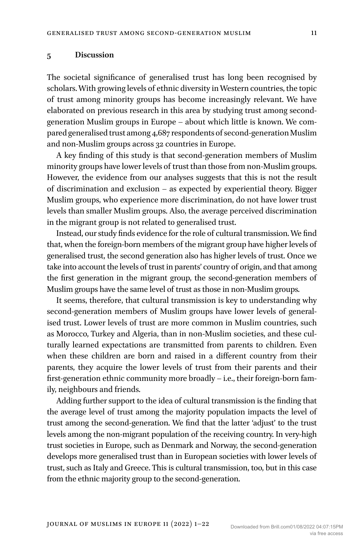## **5 Discussion**

The societal significance of generalised trust has long been recognised by scholars. With growing levels of ethnic diversity in Western countries, the topic of trust among minority groups has become increasingly relevant. We have elaborated on previous research in this area by studying trust among secondgeneration Muslim groups in Europe – about which little is known. We compared generalised trust among 4,687 respondents of second-generation Muslim and non-Muslim groups across 32 countries in Europe.

A key finding of this study is that second-generation members of Muslim minority groups have lower levels of trust than those from non-Muslim groups. However, the evidence from our analyses suggests that this is not the result of discrimination and exclusion – as expected by experiential theory. Bigger Muslim groups, who experience more discrimination, do not have lower trust levels than smaller Muslim groups. Also, the average perceived discrimination in the migrant group is not related to generalised trust.

Instead, our study finds evidence for the role of cultural transmission. We find that, when the foreign-born members of the migrant group have higher levels of generalised trust, the second generation also has higher levels of trust. Once we take into account the levels of trust in parents' country of origin, and that among the first generation in the migrant group, the second-generation members of Muslim groups have the same level of trust as those in non-Muslim groups.

It seems, therefore, that cultural transmission is key to understanding why second-generation members of Muslim groups have lower levels of generalised trust. Lower levels of trust are more common in Muslim countries, such as Morocco, Turkey and Algeria, than in non-Muslim societies, and these culturally learned expectations are transmitted from parents to children. Even when these children are born and raised in a different country from their parents, they acquire the lower levels of trust from their parents and their first-generation ethnic community more broadly – i.e., their foreign-born family, neighbours and friends.

Adding further support to the idea of cultural transmission is the finding that the average level of trust among the majority population impacts the level of trust among the second-generation. We find that the latter 'adjust' to the trust levels among the non-migrant population of the receiving country. In very-high trust societies in Europe, such as Denmark and Norway, the second-generation develops more generalised trust than in European societies with lower levels of trust, such as Italy and Greece. This is cultural transmission, too, but in this case from the ethnic majority group to the second-generation.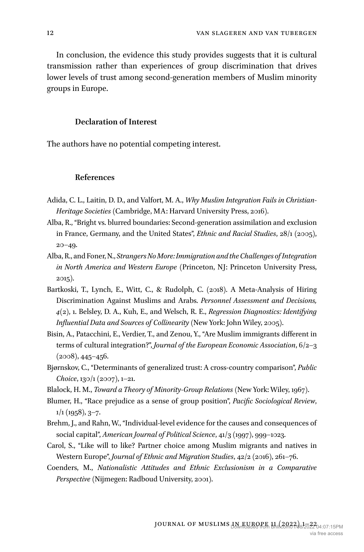In conclusion, the evidence this study provides suggests that it is cultural transmission rather than experiences of group discrimination that drives lower levels of trust among second-generation members of Muslim minority groups in Europe.

# **Declaration of Interest**

The authors have no potential competing interest.

#### **References**

- Adida, C. L., Laitin, D. D., and Valfort, M. A., *Why Muslim Integration Fails in Christian-Heritage Societies* (Cambridge, MA: Harvard University Press, 2016).
- Alba, R., "Bright vs. blurred boundaries: Second-generation assimilation and exclusion in France, Germany, and the United States", *Ethnic and Racial Studies*, 28/1 (2005),  $20 - 49.$
- Alba, R., and Foner, N., *Strangers No More: Immigration and the Challenges of Integration in North America and Western Europe* (Princeton, NJ: Princeton University Press, 2015).
- Bartkoski, T., Lynch, E., Witt, C., & Rudolph, C. (2018). A Meta-Analysis of Hiring Discrimination Against Muslims and Arabs. *Personnel Assessment and Decisions, 4*(2), 1. Belsley, D. A., Kuh, E., and Welsch, R. E., *Regression Diagnostics: Identifying Influential Data and Sources of Collinearity* (New York: John Wiley, 2005).
- Bisin, A., Patacchini, E., Verdier, T., and Zenou, Y., "Are Muslim immigrants different in terms of cultural integration?", *Journal of the European Economic Association*, 6/2–3 (2008), 445–456.
- Bjørnskov, C., "Determinants of generalized trust: A cross-country comparison", *Public Choice*, 130/1 (2007), 1–21.
- Blalock, H. M., *Toward a Theory of Minority-Group Relations* (New York: Wiley, 1967).
- Blumer, H., "Race prejudice as a sense of group position", *Pacific Sociological Review*,  $1/1$  (1958), 3–7.
- Brehm, J., and Rahn, W., "Individual-level evidence for the causes and consequences of social capital", *American Journal of Political Science*, 41/3 (1997), 999–1023.
- Carol, S., "Like will to like? Partner choice among Muslim migrants and natives in Western Europe", *Journal of Ethnic and Migration Studies*, 42/2 (2016), 261–76.
- Coenders, M., *Nationalistic Attitudes and Ethnic Exclusionism in a Comparative Perspective* (Nijmegen: Radboud University, 2001).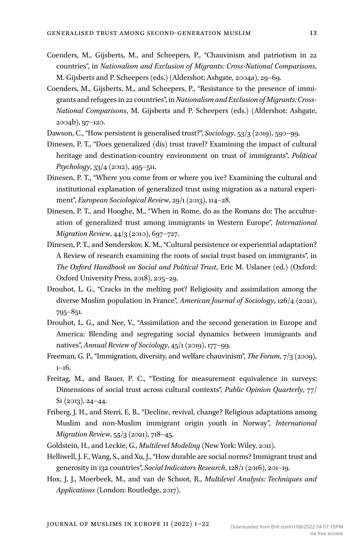- Coenders, M., Gijsberts, M., and Scheepers, P., "Chauvinism and patriotism in 22 countries", in *Nationalism and Exclusion of Migrants: Cross-National Comparisons*, M. Gijsberts and P. Scheepers (eds.) (Aldershot: Ashgate, 2004a), 29–69.
- Coenders, M., Gijsberts, M., and Scheepers, P., "Resistance to the presence of immigrants and refugees in 22 countries", in *Nationalism and Exclusion of Migrants: Cross-National Comparisons*, M. Gijsberts and P. Scheepers (eds.) (Aldershot: Ashgate, 2004b), 97–120.
- Dawson, C., "How persistent is generalised trust?", *Sociology*, 53/3 (2019), 590–99.
- Dinesen, P. T., "Does generalized (dis) trust travel? Examining the impact of cultural heritage and destination‐country environment on trust of immigrants", *Political Psychology*, 33/4 (2012), 495–511.
- Dinesen, P. T., "Where you come from or where you ive? Examining the cultural and institutional explanation of generalized trust using migration as a natural experiment", *European Sociological Review*, 29/1 (2013), 114–28.
- Dinesen, P. T., and Hooghe, M., "When in Rome, do as the Romans do: The acculturation of generalized trust among immigrants in Western Europe", *International Migration Review*, 44/3 (2010), 697–727.
- Dinesen, P. T., and Sønderskov, K. M., "Cultural persistence or experiential adaptation? A Review of research examining the roots of social trust based on immigrants", in *The Oxford Handbook on Social and Political Trust*, Eric M. Uslaner (ed.) (Oxford: Oxford University Press, 2018), 205–29.
- Drouhot, L. G., "Cracks in the melting pot? Religiosity and assimilation among the diverse Muslim population in France", *American Journal of Sociology*, 126/4 (2021), 795–851.
- Drouhot, L. G., and Nee, V., "Assimilation and the second generation in Europe and America: Blending and segregating social dynamics between immigrants and natives", *Annual Review of Sociology*, 45/1 (2019), 177–99.
- Freeman, G. P., "Immigration, diversity, and welfare chauvinism", *The Forum*, 7/3 (2009),  $1-16.$
- Freitag, M., and Bauer, P. C., "Testing for measurement equivalence in surveys: Dimensions of social trust across cultural contexts", *Public Opinion Quarterly*, 77/ S1 (2013), 24–44.
- Friberg, J. H., and Sterri, E. B., "Decline, revival, change? Religious adaptations among Muslim and non-Muslim immigrant origin youth in Norway", *International Migration Review*, 55/3 (2021), 718–45.
- Goldstein, H., and Leckie, G., *Multilevel Modeling* (New York: Wiley, 2011).
- Helliwell, J. F., Wang, S., and Xu, J., "How durable are social norms? Immigrant trust and generosity in 132 countries", *Social Indicators Research*, 128/1 (2016), 201–19.
- Hox, J. J., Moerbeek, M., and van de Schoot, R., *Multilevel Analysis: Techniques and Applications* (London: Routledge, 2017).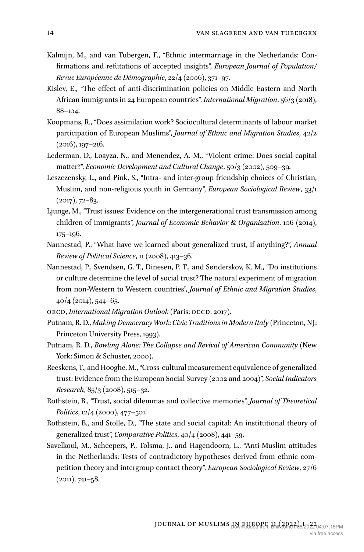- Kalmijn, M., and van Tubergen, F., "Ethnic intermarriage in the Netherlands: Confirmations and refutations of accepted insights", *European Journal of Population/ Revue Européenne de Démographie*, 22/4 (2006), 371–97.
- Kislev, E., "The effect of anti-discrimination policies on Middle Eastern and North African immigrants in 24 European countries", *International Migration*, 56/3 (2018), 88–104.
- Koopmans, R., "Does assimilation work? Sociocultural determinants of labour market participation of European Muslims", *Journal of Ethnic and Migration Studies*, 42/2  $(2016)$ , 197–216.
- Lederman, D., Loayza, N., and Menendez, A. M., "Violent crime: Does social capital matter?", *Economic Development and Cultural Change*, 50/3 (2002), 509–39.
- Leszczensky, L., and Pink, S., "Intra- and inter-group friendship choices of Christian, Muslim, and non-religious youth in Germany", *European Sociological Review*, 33/1  $(2017), 72-83.$
- Ljunge, M., "Trust issues: Evidence on the intergenerational trust transmission among children of immigrants", *Journal of Economic Behavior & Organization*, 106 (2014), 175–196.
- Nannestad, P., "What have we learned about generalized trust, if anything?", *Annual Review of Political Science*, 11 (2008), 413–36.
- Nannestad, P., Svendsen, G. T., Dinesen, P. T., and Sønderskov, K. M., "Do institutions or culture determine the level of social trust? The natural experiment of migration from non-Western to Western countries", *Journal of Ethnic and Migration Studies*, 40/4 (2014), 544–65.
- OECD, *International Migration Outlook* (Paris: OECD, 2017).
- Putnam, R. D., *Making Democracy Work: Civic Traditions in Modern Italy* (Princeton, NJ: Princeton University Press, 1993).
- Putnam, R. D., *Bowling Alone: The Collapse and Revival of American Community* (New York: Simon & Schuster, 2000).
- Reeskens, T., and Hooghe, M., "Cross-cultural measurement equivalence of generalized trust: Evidence from the European Social Survey (2002 and 2004)", *Social Indicators Research*, 85/3 (2008), 515–32.
- Rothstein, B., "Trust, social dilemmas and collective memories", *Journal of Theoretical Politics*, 12/4 (2000), 477–501.
- Rothstein, B., and Stolle, D., "The state and social capital: An institutional theory of generalized trust", *Comparative Politics*, 40/4 (2008), 441–59.
- Savelkoul, M., Scheepers, P., Tolsma, J., and Hagendoorn, L., "Anti-Muslim attitudes in the Netherlands: Tests of contradictory hypotheses derived from ethnic competition theory and intergroup contact theory", *European Sociological Review*, 27/6  $(2011), 741 - 58.$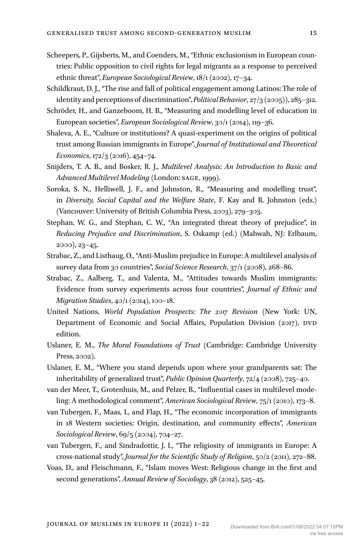- Scheepers, P., Gijsberts, M., and Coenders, M., "Ethnic exclusionism in European countries: Public opposition to civil rights for legal migrants as a response to perceived ethnic threat", *European Sociological Review*, 18/1 (2002), 17–34.
- Schildkraut, D. J., "The rise and fall of political engagement among Latinos: The role of identity and perceptions of discrimination", *Political Behavior*, 27/3 (2005)), 285–312.
- Schröder, H., and Ganzeboom, H. B., "Measuring and modelling level of education in European societies", *European Sociological Review*, 30/1 (2014), 119–36.
- Shaleva, A. E., "Culture or institutions? A quasi-experiment on the origins of political trust among Russian immigrants in Europe", *Journal of Institutional and Theoretical Economics*, 172/3 (2016), 454–74.
- Snijders, T. A. B., and Bosker, R. J., *Multilevel Analysis: An Introduction to Basic and Advanced Multilevel Modeling* (London: SAGE, 1999).
- Soroka, S. N., Helliwell, J. F., and Johnston, R., "Measuring and modelling trust", in *Diversity, Social Capital and the Welfare State*, F. Kay and R. Johnston (eds.) (Vancouver: University of British Columbia Press, 2003), 279–303.
- Stephan, W. G., and Stephan, C. W., "An integrated threat theory of prejudice", in *Reducing Prejudice and Discrimination*, S. Oskamp (ed.) (Mahwah, NJ: Erlbaum, 2000), 23–45.
- Strabac, Z., and Listhaug, O., "Anti-Muslim prejudice in Europe: A multilevel analysis of survey data from 30 countries", *Social Science Research*, 37/1 (2008), 268–86.
- Strabac, Z., Aalberg, T., and Valenta, M., "Attitudes towards Muslim immigrants: Evidence from survey experiments across four countries", *Journal of Ethnic and Migration Studies*, 40/1 (2014), 100–18.
- United Nations, *World Population Prospects: The 2017 Revision* (New York: UN, Department of Economic and Social Affairs, Population Division (2017), DVD edition.
- Uslaner, E. M., *The Moral Foundations of Trust* (Cambridge: Cambridge University Press, 2002).
- Uslaner, E. M., "Where you stand depends upon where your grandparents sat: The inheritability of generalized trust", *Public Opinion Quarterly*, 72/4 (2008), 725–40.
- van der Meer, T., Grotenhuis, M., and Pelzer, B., "Influential cases in multilevel modeling: A methodological comment", *American Sociological Review*, 75/1 (2010), 173–8.
- van Tubergen, F., Maas, I., and Flap, H., "The economic incorporation of immigrants in 18 Western societies: Origin, destination, and community effects", *American Sociological Review*, 69/5 (2004), 704–27.
- van Tubergen, F., and Sindradottir, J. I., "The religiosity of immigrants in Europe: A cross‐national study", *Journal for the Scientific Study of Religion*, 50/2 (2011), 272–88.
- Voas, D., and Fleischmann, F., "Islam moves West: Religious change in the first and second generations", *Annual Review of Sociology*, 38 (2012), 525–45.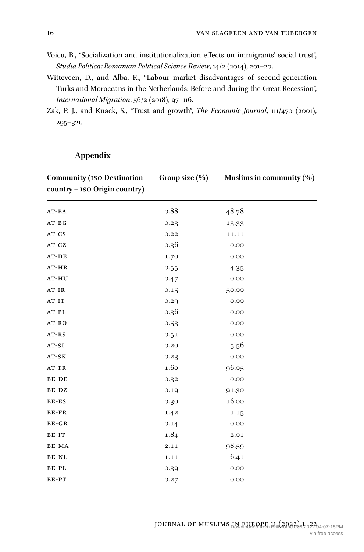- Voicu, B., "Socialization and institutionalization effects on immigrants' social trust", *Studia Politica: Romanian Political Science Review*, 14/2 (2014), 201–20.
- Witteveen, D., and Alba, R., "Labour market disadvantages of second‐generation Turks and Moroccans in the Netherlands: Before and during the Great Recession", *International Migration*, 56/2 (2018), 97–116.
- Zak, P. J., and Knack, S., "Trust and growth", *The Economic Journal*, 111/470 (2001), 295–321.

| <b>Community (ISO Destination</b><br>country - ISO Origin country) | Group size (%) | Muslims in community (%) |
|--------------------------------------------------------------------|----------------|--------------------------|
| $AT-BA$                                                            | 0.88           | 48.78                    |
| $AT-BG$                                                            | 0.23           | 13.33                    |
| $AT-CS$                                                            | 0.22           | 11.11                    |
| AT-CZ                                                              | 0.36           | 0.00                     |
| AT-DE                                                              | 1.70           | 0.00                     |
| AT-HR                                                              | 0.55           | 4.35                     |
| AT-HU                                                              | 0.47           | 0.00                     |
| $AT-IR$                                                            | 0.15           | 50.00                    |
| AT-IT                                                              | 0.29           | 0.00                     |
| $AT-PL$                                                            | 0.36           | 0.00                     |
| AT-RO                                                              | 0.53           | 0.00                     |
| $AT-RS$                                                            | 0.51           | 0.00                     |
| $AT-SI$                                                            | 0.20           | 5.56                     |
| $AT-SK$                                                            | 0.23           | 0.00                     |
| $AT-TR$                                                            | 1.60           | 96.05                    |
| BE-DE                                                              | 0.32           | 0.00                     |
| BE-DZ                                                              | 0.19           | 91.30                    |
| $BE-ES$                                                            | 0.30           | 16.00                    |
| BE-FR                                                              | 1.42           | 1.15                     |
| BE-GR                                                              | 0.14           | 0.00                     |
| BE-IT                                                              | 1.84           | 2.01                     |
| BE-MA                                                              | 2.11           | 98.59                    |
| BE-NL                                                              | 1.11           | 6.41                     |
| BE-PL                                                              | 0.39           | 0.00                     |
| BE-PT                                                              | 0.27           | 0.00                     |

# **Appendix**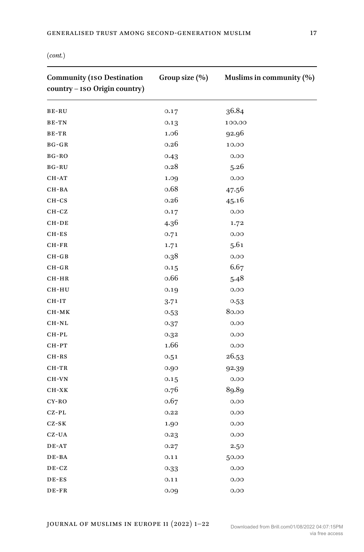| <b>Community (ISO Destination</b><br>country - ISO Origin country) | Group size (%) | Muslims in community (%) |
|--------------------------------------------------------------------|----------------|--------------------------|
| BE-RU                                                              | 0.17           | 36.84                    |
| BE-TN                                                              | 0.13           | 100.00                   |
| BE-TR                                                              | 1.06           | 92.96                    |
| BG-GR                                                              | 0.26           | 10.00                    |
| BG-RO                                                              | 0.43           | 0.00                     |
| BG-RU                                                              | 0.28           | 5.26                     |
| CH-AT                                                              | 1.09           | 0.00                     |
| CH-BA                                                              | 0.68           | 47.56                    |
| $CH-CS$                                                            | 0.26           | 45.16                    |
| $CH- CZ$                                                           | 0.17           | 0.00                     |
| CH-DE                                                              | 4.36           | 1.72                     |
| $CH-ES$                                                            | 0.71           | 0.00                     |
| $CH-FR$                                                            | 1.71           | 5.61                     |
| $CH-GB$                                                            | 0.38           | 0.00                     |
| $CH-GR$                                                            | 0.15           | 6.67                     |
| CH-HR                                                              | 0.66           | 5.48                     |
| CH-HU                                                              | 0.19           | 0.00                     |
| $CH-IT$                                                            | 3.71           | 0.53                     |
| CH-MK                                                              | 0.53           | 80.00                    |
| CH-NL                                                              | 0.37           | 0.00                     |
| CH-PL                                                              | 0.32           | 0.00                     |
| CH-PT                                                              | 1.66           | 0.00                     |
| CH-RS                                                              | 0.51           | 26.53                    |
| CH-TR                                                              | 0.90           | 92.39                    |
| CH-VN                                                              | 0.15           | 0.00                     |
| $CH-XK$                                                            | 0.76           | 89.89                    |
| CY-RO                                                              | 0.67           | 0.00                     |
| $CZ-PL$                                                            | 0.22           | 0.00                     |
| $CZ-SK$                                                            | 1.90           | 0.00                     |
| CZ-UA                                                              | 0.23           | 0.00                     |
| DE-AT                                                              | 0.27           | 2.50                     |
| DE-BA                                                              | 0.11           | 50.00                    |
| DE-CZ                                                              | 0.33           | 0.00                     |
| DE-ES                                                              | 0.11           | 0.00                     |
| DE-FR                                                              | 0.09           | 0.00                     |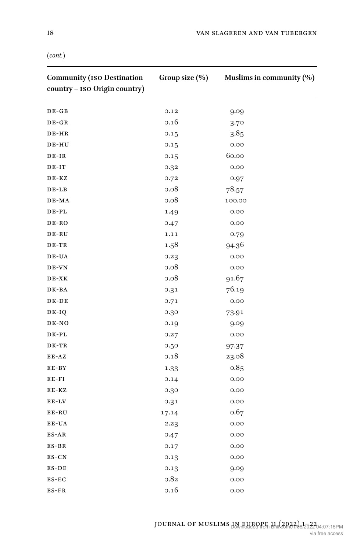| <b>Community (ISO Destination</b><br>country - ISO Origin country) | Group size (%) | Muslims in community (%) |
|--------------------------------------------------------------------|----------------|--------------------------|
| $DE-GB$                                                            | 0.12           | 9.09                     |
| $DE-GR$                                                            | 0.16           | 3.70                     |
| DE-HR                                                              | 0.15           | 3.85                     |
| DE-HU                                                              | 0.15           | 0.00                     |
| $DE-IR$                                                            | 0.15           | 60.00                    |
| DE-IT                                                              | 0.32           | 0.00                     |
| DE-KZ                                                              | 0.72           | 0.97                     |
| DE-LB                                                              | 0.08           | 78.57                    |
| DE-MA                                                              | 0.08           | 100.00                   |
| DE-PL                                                              | 1.49           | 0.00                     |
| DE-RO                                                              | 0.47           | 0.00                     |
| DE-RU                                                              | 1.11           | 0.79                     |
| DE-TR                                                              | 1.58           | 94.36                    |
| DE-UA                                                              | 0.23           | 0.00                     |
| DE-VN                                                              | 0.08           | 0.00                     |
| $DE-XK$                                                            | 0.08           | 91.67                    |
| DK-BA                                                              | 0.31           | 76.19                    |
| DK-DE                                                              | 0.71           | 0.00                     |
| DK-IQ                                                              | 0.30           | 73.91                    |
| DK-NO                                                              | 0.19           | 9.09                     |
| DK-PL                                                              | 0.27           | 0.00                     |
| DK-TR                                                              | 0.50           | 97.37                    |
| EE-AZ                                                              | 0.18           | 23.08                    |
| $E E - BY$                                                         | 1.33           | 0.85                     |
| $E E - F I$                                                        | 0.14           | 0.00                     |
| EE-KZ                                                              | 0.30           | 0.00                     |
| EE-LV                                                              | 0.31           | 0.00                     |
| EE-RU                                                              | 17.14          | 0.67                     |
| EE-UA                                                              | 2.23           | 0.00                     |
| $ES-AR$                                                            | 0.47           | 0.00                     |
| $ES-BR$                                                            | 0.17           | 0.00                     |
| ES-CN                                                              | 0.13           | 0.00                     |
| $ES-DE$                                                            | 0.13           | 9.09                     |
| ES-EC                                                              | 0.82           | 0.00                     |
| $ES-FR$                                                            | 0.16           | 0.00                     |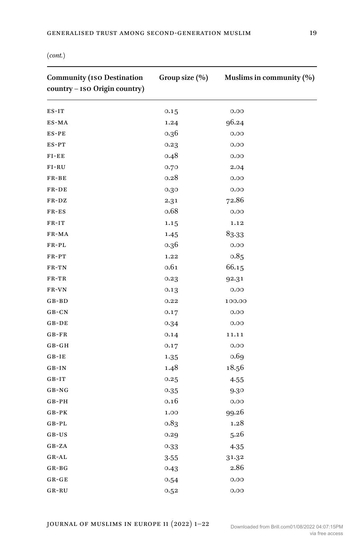| <b>Community (ISO Destination</b><br>country - ISO Origin country) | Group size (%) | Muslims in community (%) |
|--------------------------------------------------------------------|----------------|--------------------------|
| $ES-IT$                                                            | 0.15           | 0.00                     |
| ES-MA                                                              | 1.24           | 96.24                    |
| $ES-PE$                                                            | 0.36           | 0.00                     |
| ES-PT                                                              | 0.23           | 0.00                     |
| $FI-EE$                                                            | 0.48           | 0.00                     |
| $FI-RU$                                                            | 0.70           | 2.04                     |
| $FR-BE$                                                            | 0.28           | 0.00                     |
| FR-DE                                                              | 0.30           | 0.00                     |
| FR-DZ                                                              | 2.31           | 72.86                    |
| FR-ES                                                              | 0.68           | 0.00                     |
| $FR-IT$                                                            | 1.15           | 1.12                     |
| FR-MA                                                              | 1.45           | 83.33                    |
| $FR-PL$                                                            | 0.36           | 0.00                     |
| $FR-PT$                                                            | 1.22           | 0.85                     |
| FR-TN                                                              | 0.61           | 66.15                    |
| FR-TR                                                              | 0.23           | 92.31                    |
| FR-VN                                                              | 0.13           | 0.00                     |
| $G$ $B$ - $B$ $D$                                                  | 0.22           | 100.00                   |
| GB-CN                                                              | 0.17           | 0.00                     |
| $G$ B-DE                                                           | 0.34           | 0.00                     |
| $G B - FR$                                                         | 0.14           | 11.11                    |
| $G B - G H$                                                        | 0.17           | 0.00                     |
| $G B - I E$                                                        | 1.35           | 0.69                     |
| $GB-IN$                                                            | 1.48           | 18.56                    |
| $G B-IT$                                                           | 0.25           | 4.55                     |
| GB-NG                                                              | 0.35           | 9.30                     |
| $G$ B-PH                                                           | 0.16           | 0.00                     |
| $G B - PK$                                                         | 1.00           | 99.26                    |
| $G$ B-PL                                                           | 0.83           | 1.28                     |
| GB-US                                                              | 0.29           | 5.26                     |
| GB-ZA                                                              | 0.33           | 4.35                     |
| GR-AL                                                              | 3.55           | 31.32                    |
| $G R - BG$                                                         | 0.43           | 2.86                     |
| $G R - G E$                                                        | 0.54           | 0.00                     |
| GR-RU                                                              | 0.52           | 0.00                     |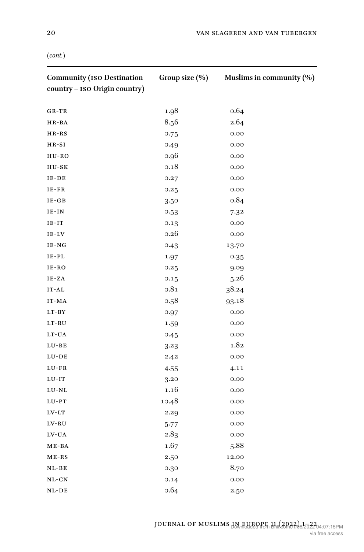| <b>Community (ISO Destination</b><br>country - ISO Origin country) | Group size (%) | Muslims in community (%) |
|--------------------------------------------------------------------|----------------|--------------------------|
| GR-TR                                                              | 1.98           | 0.64                     |
| HR-BA                                                              | 8.56           | 2.64                     |
| HR-RS                                                              | 0.75           | 0.00                     |
| $HR-SI$                                                            | 0.49           | 0.00                     |
| HU-RO                                                              | 0.96           | 0.00                     |
| HU-SK                                                              | 0.18           | 0.00                     |
| IE-DE                                                              | 0.27           | 0.00                     |
| $IE-FR$                                                            | 0.25           | 0.00                     |
| $IE-GB$                                                            | 3.50           | 0.84                     |
| $IE-IN$                                                            | 0.53           | 7.32                     |
| $IE-IT$                                                            | 0.13           | 0.00                     |
| IE-LV                                                              | 0.26           | 0.00                     |
| IE-NG                                                              | 0.43           | 13.70                    |
| $\rm I\,E\text{-}\mathrm{PL}$                                      | 1.97           | 0.35                     |
| IE-RO                                                              | 0.25           | 9.09                     |
| IE-ZA                                                              | 0.15           | 5.26                     |
| $IT-AL$                                                            | 0.81           | 38.24                    |
| IT-MA                                                              | 0.58           | 93.18                    |
| $LT-BY$                                                            | 0.97           | 0.00                     |
| $_{\rm LT\text{-}RU}$                                              | 1.59           | 0.00                     |
| LT-UA                                                              | 0.45           | 0.00                     |
| $LU-BE$                                                            | 3.23           | 1.82                     |
| $LU-DE$                                                            | 2.42           | 0.00                     |
| LU-FR                                                              | 4.55           | 4.11                     |
| $LU-T$                                                             | 3.20           | 0.00                     |
| $LU-NL$                                                            | 1.16           | 0.00                     |
| $LU-PT$                                                            | 10.48          | 0.00                     |
| $LV-LT$                                                            | 2.29           | 0.00                     |
| $LV-RU$                                                            | $5 - 77$       | 0.00                     |
| LV-UA                                                              | 2.83           | 0.00                     |
| $ME-BA$                                                            | 1.67           | 5.88                     |
| $ME-RS$                                                            | 2.50           | 12.00                    |
| NL-BE                                                              | 0.30           | 8.70                     |
| NL-CN                                                              | 0.14           | 0.00                     |
| $NL-DE$                                                            | 0.64           | 2.50                     |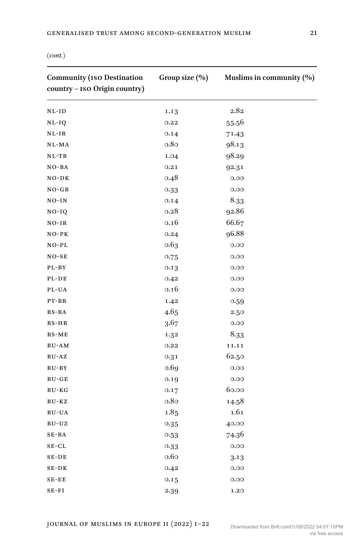| <b>Community (ISO Destination</b><br>country - ISO Origin country) | Group size (%) | Muslims in community (%) |
|--------------------------------------------------------------------|----------------|--------------------------|
| NL-ID                                                              | 1.13           | 2.82                     |
| NL-IQ                                                              | 0.22           | 55.56                    |
| NL-IR                                                              | 0.14           | 71.43                    |
| NL-MA                                                              | 0.80           | 98.13                    |
| NL-TR                                                              | 1.04           | 98.29                    |
| $NO-BA$                                                            | 0.21           | 92.31                    |
| $NO-DK$                                                            | 0.48           | 0.00                     |
| $NO-GB$                                                            | 0.33           | 0.00                     |
| $NO-IN$                                                            | 0.14           | 8.33                     |
| $NO-IQ$                                                            | 0.28           | 92.86                    |
| NO-IR                                                              | 0.16           | 66.67                    |
| $NO-PK$                                                            | 0.24           | 96.88                    |
| NO-PL                                                              | 0.63           | 0.00                     |
| $NO-SE$                                                            | 0.75           | 0.00                     |
| PL-BY                                                              | 0.13           | 0.00                     |
| PL-DE                                                              | 0.42           | 0.00                     |
| PL-UA                                                              | 0.16           | 0.00                     |
| PT-BR                                                              | 1.42           | 0.59                     |
| RS-BA                                                              | 4.65           | 2.50                     |
| RS-HR                                                              | 3.67           | 0.00                     |
| RS-ME                                                              | 1.32           | 8.33                     |
| RU-AM                                                              | 0.22           | 11.11                    |
| RU-AZ                                                              | 0.31           | 62.50                    |
| RU-BY                                                              | 0.69           | 0.00                     |
| $RU-GE$                                                            | 0.19           | 0.00                     |
| RU-KG                                                              | 0.17           | 60.00                    |
| RU-KZ                                                              | 0.80           | 14.58                    |
| RU-UA                                                              | 1.85           | 1.61                     |
| $RU-UZ$                                                            | 0.35           | 40.00                    |
| SE-BA                                                              | 0.53           | 74.36                    |
| $SE-CL$                                                            | 0.33           | 0.00                     |
| SE-DE                                                              | 0.60           | 3.13                     |
| SE-DK                                                              | 0.42           | 0.00                     |
| $SE-EE$                                                            | 0.15           | 0.00                     |
| $SE-FI$                                                            | 2.39           | 1.20                     |